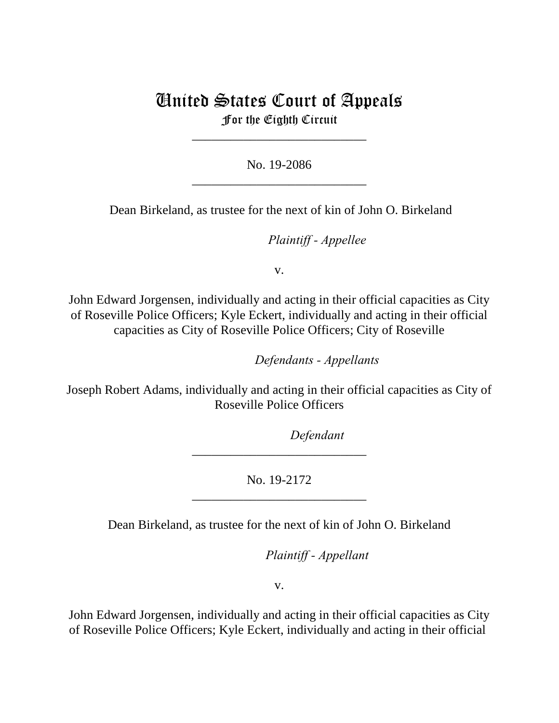## United States Court of Appeals For the Eighth Circuit

\_\_\_\_\_\_\_\_\_\_\_\_\_\_\_\_\_\_\_\_\_\_\_\_\_\_\_

No. 19-2086 \_\_\_\_\_\_\_\_\_\_\_\_\_\_\_\_\_\_\_\_\_\_\_\_\_\_\_

Dean Birkeland, as trustee for the next of kin of John O. Birkeland

*Plaintiff - Appellee* 

v.

John Edward Jorgensen, individually and acting in their official capacities as City of Roseville Police Officers; Kyle Eckert, individually and acting in their official capacities as City of Roseville Police Officers; City of Roseville

lllllllllllllllllllll*Defendants - Appellants*

Joseph Robert Adams, individually and acting in their official capacities as City of Roseville Police Officers

Defendant

No. 19-2172 \_\_\_\_\_\_\_\_\_\_\_\_\_\_\_\_\_\_\_\_\_\_\_\_\_\_\_

\_\_\_\_\_\_\_\_\_\_\_\_\_\_\_\_\_\_\_\_\_\_\_\_\_\_\_

Dean Birkeland, as trustee for the next of kin of John O. Birkeland

lllllllllllllllllllll*Plaintiff - Appellant*

v.

John Edward Jorgensen, individually and acting in their official capacities as City of Roseville Police Officers; Kyle Eckert, individually and acting in their official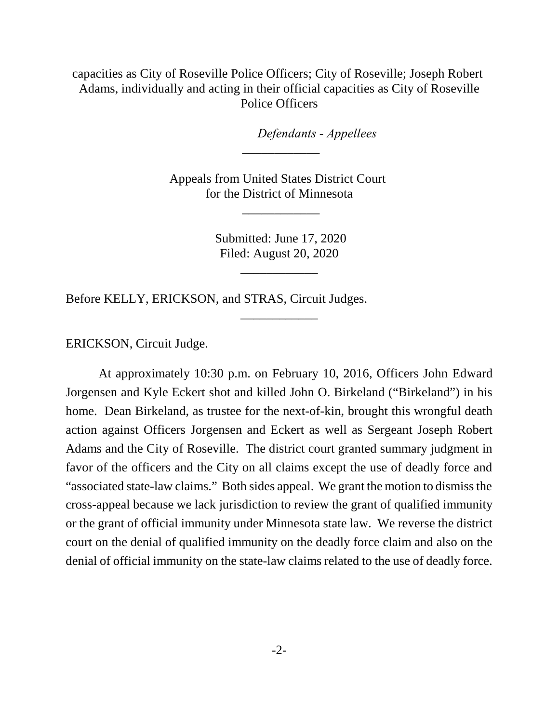capacities as City of Roseville Police Officers; City of Roseville; Joseph Robert Adams, individually and acting in their official capacities as City of Roseville Police Officers

*Defendants - Appellees* 

Appeals from United States District Court for the District of Minnesota

 $\overline{\phantom{a}}$ 

\_\_\_\_\_\_\_\_\_\_\_\_

 Submitted: June 17, 2020 Filed: August 20, 2020

\_\_\_\_\_\_\_\_\_\_\_\_

\_\_\_\_\_\_\_\_\_\_\_\_

Before KELLY, ERICKSON, and STRAS, Circuit Judges.

ERICKSON, Circuit Judge.

At approximately 10:30 p.m. on February 10, 2016, Officers John Edward Jorgensen and Kyle Eckert shot and killed John O. Birkeland ("Birkeland") in his home. Dean Birkeland, as trustee for the next-of-kin, brought this wrongful death action against Officers Jorgensen and Eckert as well as Sergeant Joseph Robert Adams and the City of Roseville. The district court granted summary judgment in favor of the officers and the City on all claims except the use of deadly force and "associated state-law claims." Both sides appeal. We grant the motion to dismiss the cross-appeal because we lack jurisdiction to review the grant of qualified immunity or the grant of official immunity under Minnesota state law. We reverse the district court on the denial of qualified immunity on the deadly force claim and also on the denial of official immunity on the state-law claims related to the use of deadly force.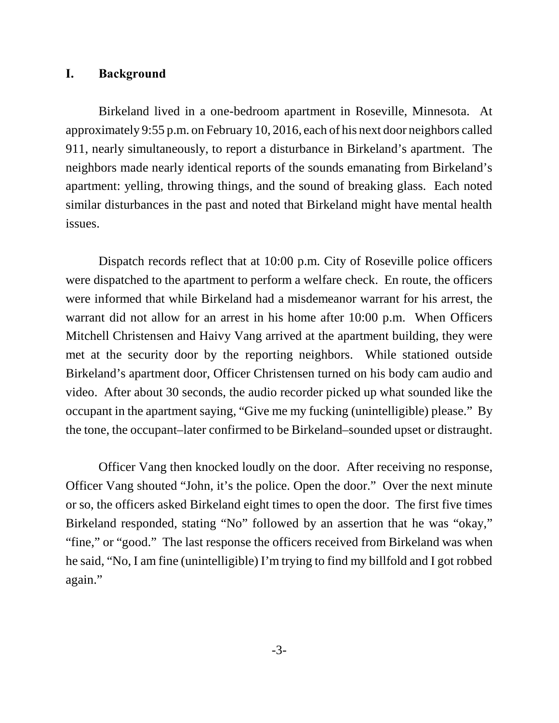## **I. Background**

Birkeland lived in a one-bedroom apartment in Roseville, Minnesota. At approximately 9:55 p.m. on February 10, 2016, each of his next door neighbors called 911, nearly simultaneously, to report a disturbance in Birkeland's apartment. The neighbors made nearly identical reports of the sounds emanating from Birkeland's apartment: yelling, throwing things, and the sound of breaking glass. Each noted similar disturbances in the past and noted that Birkeland might have mental health issues.

Dispatch records reflect that at 10:00 p.m. City of Roseville police officers were dispatched to the apartment to perform a welfare check. En route, the officers were informed that while Birkeland had a misdemeanor warrant for his arrest, the warrant did not allow for an arrest in his home after 10:00 p.m. When Officers Mitchell Christensen and Haivy Vang arrived at the apartment building, they were met at the security door by the reporting neighbors. While stationed outside Birkeland's apartment door, Officer Christensen turned on his body cam audio and video. After about 30 seconds, the audio recorder picked up what sounded like the occupant in the apartment saying, "Give me my fucking (unintelligible) please." By the tone, the occupant–later confirmed to be Birkeland–sounded upset or distraught.

Officer Vang then knocked loudly on the door. After receiving no response, Officer Vang shouted "John, it's the police. Open the door." Over the next minute or so, the officers asked Birkeland eight times to open the door. The first five times Birkeland responded, stating "No" followed by an assertion that he was "okay," "fine," or "good." The last response the officers received from Birkeland was when he said, "No, I am fine (unintelligible) I'm trying to find my billfold and I got robbed again."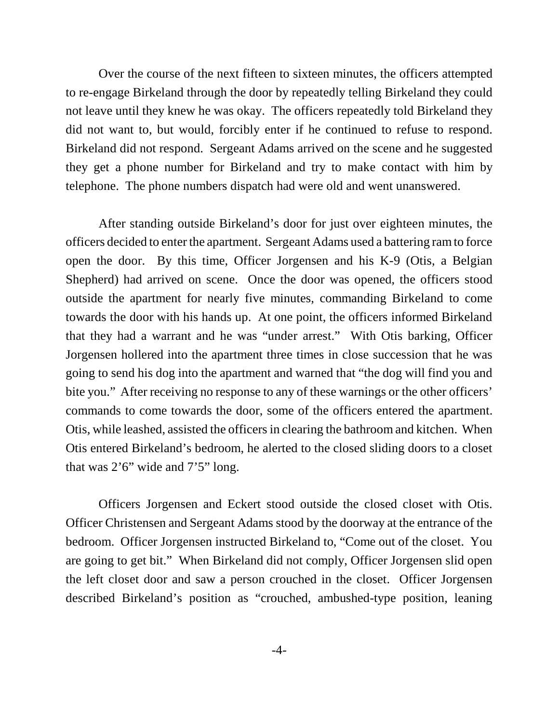Over the course of the next fifteen to sixteen minutes, the officers attempted to re-engage Birkeland through the door by repeatedly telling Birkeland they could not leave until they knew he was okay. The officers repeatedly told Birkeland they did not want to, but would, forcibly enter if he continued to refuse to respond. Birkeland did not respond. Sergeant Adams arrived on the scene and he suggested they get a phone number for Birkeland and try to make contact with him by telephone. The phone numbers dispatch had were old and went unanswered.

After standing outside Birkeland's door for just over eighteen minutes, the officers decided to enter the apartment. Sergeant Adams used a battering ram to force open the door. By this time, Officer Jorgensen and his K-9 (Otis, a Belgian Shepherd) had arrived on scene. Once the door was opened, the officers stood outside the apartment for nearly five minutes, commanding Birkeland to come towards the door with his hands up. At one point, the officers informed Birkeland that they had a warrant and he was "under arrest." With Otis barking, Officer Jorgensen hollered into the apartment three times in close succession that he was going to send his dog into the apartment and warned that "the dog will find you and bite you." After receiving no response to any of these warnings or the other officers' commands to come towards the door, some of the officers entered the apartment. Otis, while leashed, assisted the officers in clearing the bathroom and kitchen. When Otis entered Birkeland's bedroom, he alerted to the closed sliding doors to a closet that was  $2'6''$  wide and  $7'5''$  long.

Officers Jorgensen and Eckert stood outside the closed closet with Otis. Officer Christensen and Sergeant Adams stood by the doorway at the entrance of the bedroom. Officer Jorgensen instructed Birkeland to, "Come out of the closet. You are going to get bit." When Birkeland did not comply, Officer Jorgensen slid open the left closet door and saw a person crouched in the closet. Officer Jorgensen described Birkeland's position as "crouched, ambushed-type position, leaning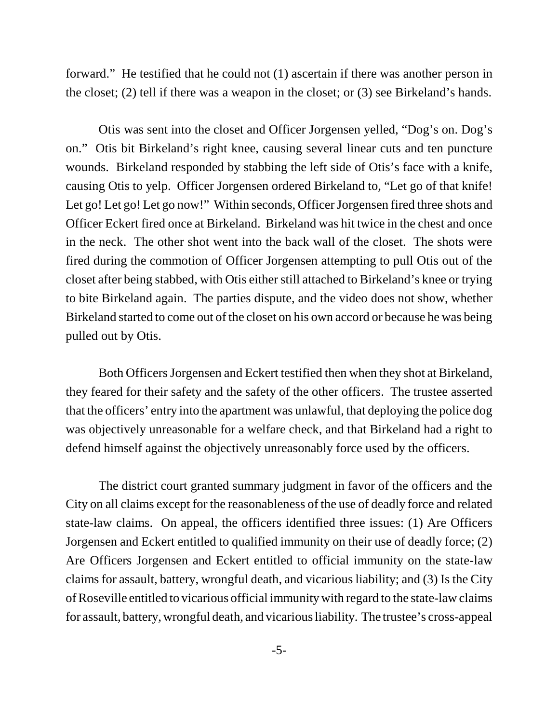forward." He testified that he could not (1) ascertain if there was another person in the closet; (2) tell if there was a weapon in the closet; or (3) see Birkeland's hands.

Otis was sent into the closet and Officer Jorgensen yelled, "Dog's on. Dog's on." Otis bit Birkeland's right knee, causing several linear cuts and ten puncture wounds. Birkeland responded by stabbing the left side of Otis's face with a knife, causing Otis to yelp. Officer Jorgensen ordered Birkeland to, "Let go of that knife! Let go! Let go! Let go now!" Within seconds, Officer Jorgensen fired three shots and Officer Eckert fired once at Birkeland. Birkeland was hit twice in the chest and once in the neck. The other shot went into the back wall of the closet. The shots were fired during the commotion of Officer Jorgensen attempting to pull Otis out of the closet after being stabbed, with Otis either still attached to Birkeland's knee or trying to bite Birkeland again. The parties dispute, and the video does not show, whether Birkeland started to come out of the closet on his own accord or because he was being pulled out by Otis.

Both Officers Jorgensen and Eckert testified then when they shot at Birkeland, they feared for their safety and the safety of the other officers. The trustee asserted that the officers' entry into the apartment was unlawful, that deploying the police dog was objectively unreasonable for a welfare check, and that Birkeland had a right to defend himself against the objectively unreasonably force used by the officers.

The district court granted summary judgment in favor of the officers and the City on all claims except for the reasonableness of the use of deadly force and related state-law claims. On appeal, the officers identified three issues: (1) Are Officers Jorgensen and Eckert entitled to qualified immunity on their use of deadly force; (2) Are Officers Jorgensen and Eckert entitled to official immunity on the state-law claims for assault, battery, wrongful death, and vicarious liability; and (3) Is the City of Roseville entitled to vicarious official immunity with regard to the state-law claims for assault, battery, wrongful death, and vicarious liability. The trustee's cross-appeal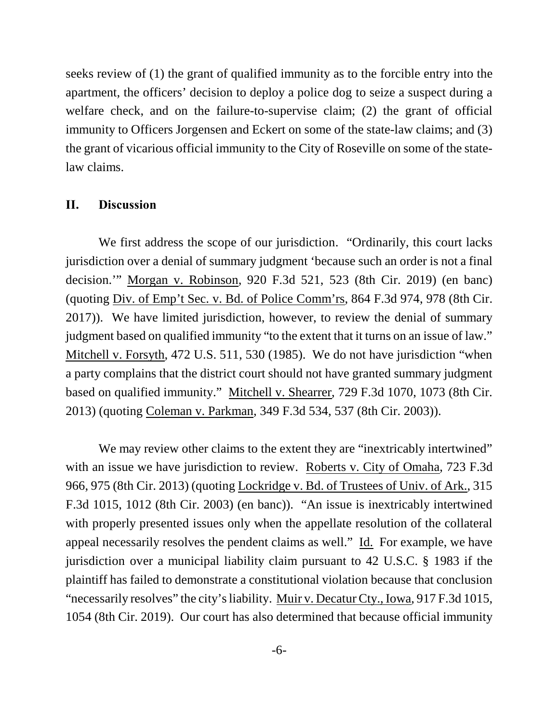seeks review of (1) the grant of qualified immunity as to the forcible entry into the apartment, the officers' decision to deploy a police dog to seize a suspect during a welfare check, and on the failure-to-supervise claim; (2) the grant of official immunity to Officers Jorgensen and Eckert on some of the state-law claims; and (3) the grant of vicarious official immunity to the City of Roseville on some of the statelaw claims.

## **II. Discussion**

We first address the scope of our jurisdiction. "Ordinarily, this court lacks jurisdiction over a denial of summary judgment 'because such an order is not a final decision.'" Morgan v. Robinson, 920 F.3d 521, 523 (8th Cir. 2019) (en banc) (quoting Div. of Emp't Sec. v. Bd. of Police Comm'rs, 864 F.3d 974, 978 (8th Cir. 2017)). We have limited jurisdiction, however, to review the denial of summary judgment based on qualified immunity "to the extent that it turns on an issue of law." Mitchell v. Forsyth, 472 U.S. 511, 530 (1985). We do not have jurisdiction "when a party complains that the district court should not have granted summary judgment based on qualified immunity." Mitchell v. Shearrer, 729 F.3d 1070, 1073 (8th Cir. 2013) (quoting Coleman v. Parkman, 349 F.3d 534, 537 (8th Cir. 2003)).

We may review other claims to the extent they are "inextricably intertwined" with an issue we have jurisdiction to review. Roberts v. City of Omaha, 723 F.3d 966, 975 (8th Cir. 2013) (quoting Lockridge v. Bd. of Trustees of Univ. of Ark., 315 F.3d 1015, 1012 (8th Cir. 2003) (en banc)). "An issue is inextricably intertwined with properly presented issues only when the appellate resolution of the collateral appeal necessarily resolves the pendent claims as well." Id. For example, we have jurisdiction over a municipal liability claim pursuant to 42 U.S.C. § 1983 if the plaintiff has failed to demonstrate a constitutional violation because that conclusion "necessarily resolves" the city's liability. Muir v. Decatur Cty., Iowa, 917 F.3d 1015, 1054 (8th Cir. 2019). Our court has also determined that because official immunity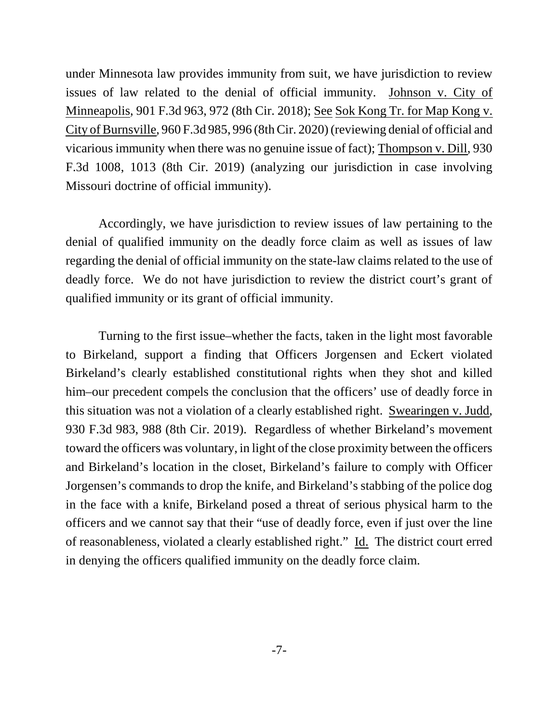under Minnesota law provides immunity from suit, we have jurisdiction to review issues of law related to the denial of official immunity. Johnson v. City of Minneapolis, 901 F.3d 963, 972 (8th Cir. 2018); See Sok Kong Tr. for Map Kong v. City of Burnsville, 960 F.3d 985, 996 (8th Cir. 2020) (reviewing denial of official and vicarious immunity when there was no genuine issue of fact); Thompson v. Dill, 930 F.3d 1008, 1013 (8th Cir. 2019) (analyzing our jurisdiction in case involving Missouri doctrine of official immunity).

Accordingly, we have jurisdiction to review issues of law pertaining to the denial of qualified immunity on the deadly force claim as well as issues of law regarding the denial of official immunity on the state-law claims related to the use of deadly force. We do not have jurisdiction to review the district court's grant of qualified immunity or its grant of official immunity.

Turning to the first issue–whether the facts, taken in the light most favorable to Birkeland, support a finding that Officers Jorgensen and Eckert violated Birkeland's clearly established constitutional rights when they shot and killed him–our precedent compels the conclusion that the officers' use of deadly force in this situation was not a violation of a clearly established right. Swearingen v. Judd, 930 F.3d 983, 988 (8th Cir. 2019). Regardless of whether Birkeland's movement toward the officers was voluntary, in light of the close proximity between the officers and Birkeland's location in the closet, Birkeland's failure to comply with Officer Jorgensen's commands to drop the knife, and Birkeland's stabbing of the police dog in the face with a knife, Birkeland posed a threat of serious physical harm to the officers and we cannot say that their "use of deadly force, even if just over the line of reasonableness, violated a clearly established right." Id. The district court erred in denying the officers qualified immunity on the deadly force claim.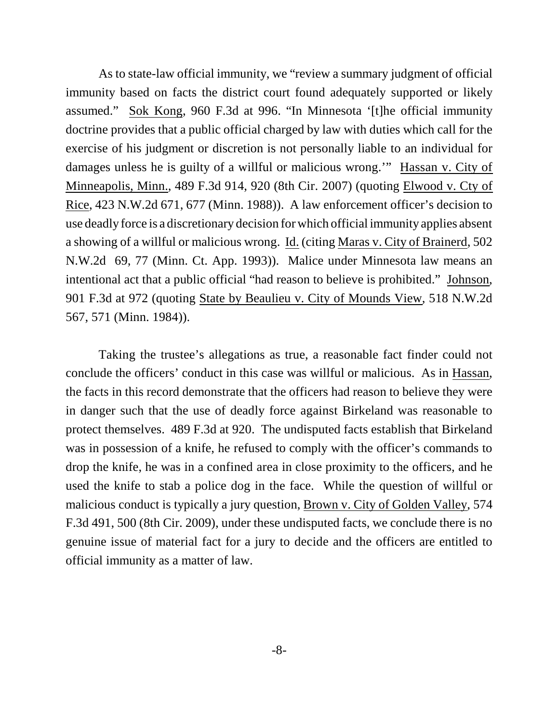As to state-law official immunity, we "review a summary judgment of official immunity based on facts the district court found adequately supported or likely assumed." Sok Kong, 960 F.3d at 996. "In Minnesota '[t]he official immunity doctrine provides that a public official charged by law with duties which call for the exercise of his judgment or discretion is not personally liable to an individual for damages unless he is guilty of a willful or malicious wrong.'" Hassan v. City of Minneapolis, Minn., 489 F.3d 914, 920 (8th Cir. 2007) (quoting Elwood v. Cty of Rice, 423 N.W.2d 671, 677 (Minn. 1988)). A law enforcement officer's decision to use deadly force is a discretionary decision for which official immunity applies absent a showing of a willful or malicious wrong. Id. (citing Maras v. City of Brainerd, 502 N.W.2d 69, 77 (Minn. Ct. App. 1993)). Malice under Minnesota law means an intentional act that a public official "had reason to believe is prohibited." Johnson, 901 F.3d at 972 (quoting State by Beaulieu v. City of Mounds View, 518 N.W.2d 567, 571 (Minn. 1984)).

Taking the trustee's allegations as true, a reasonable fact finder could not conclude the officers' conduct in this case was willful or malicious. As in Hassan, the facts in this record demonstrate that the officers had reason to believe they were in danger such that the use of deadly force against Birkeland was reasonable to protect themselves. 489 F.3d at 920. The undisputed facts establish that Birkeland was in possession of a knife, he refused to comply with the officer's commands to drop the knife, he was in a confined area in close proximity to the officers, and he used the knife to stab a police dog in the face. While the question of willful or malicious conduct is typically a jury question, Brown v. City of Golden Valley, 574 F.3d 491, 500 (8th Cir. 2009), under these undisputed facts, we conclude there is no genuine issue of material fact for a jury to decide and the officers are entitled to official immunity as a matter of law.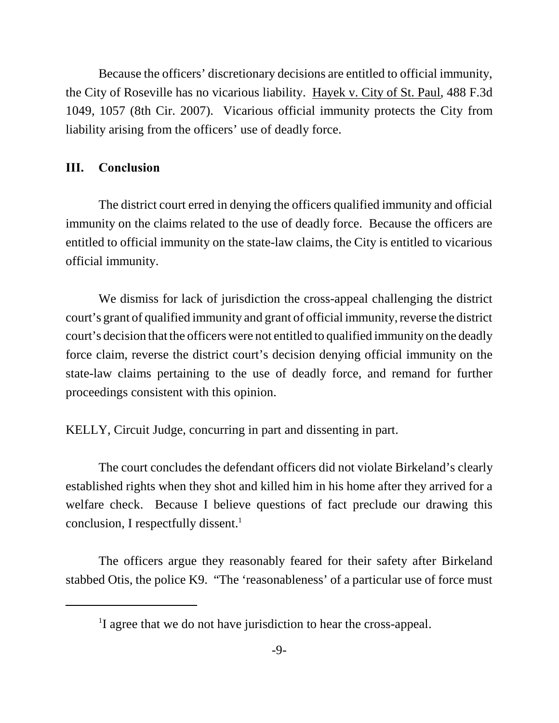Because the officers' discretionary decisions are entitled to official immunity, the City of Roseville has no vicarious liability. Hayek v. City of St. Paul, 488 F.3d 1049, 1057 (8th Cir. 2007). Vicarious official immunity protects the City from liability arising from the officers' use of deadly force.

## **III. Conclusion**

The district court erred in denying the officers qualified immunity and official immunity on the claims related to the use of deadly force. Because the officers are entitled to official immunity on the state-law claims, the City is entitled to vicarious official immunity.

We dismiss for lack of jurisdiction the cross-appeal challenging the district court's grant of qualified immunity and grant of official immunity, reverse the district court's decision that the officers were not entitled to qualified immunity on the deadly force claim, reverse the district court's decision denying official immunity on the state-law claims pertaining to the use of deadly force, and remand for further proceedings consistent with this opinion.

KELLY, Circuit Judge, concurring in part and dissenting in part.

The court concludes the defendant officers did not violate Birkeland's clearly established rights when they shot and killed him in his home after they arrived for a welfare check. Because I believe questions of fact preclude our drawing this conclusion, I respectfully dissent. $<sup>1</sup>$ </sup>

The officers argue they reasonably feared for their safety after Birkeland stabbed Otis, the police K9. "The 'reasonableness' of a particular use of force must

<sup>&</sup>lt;sup>1</sup>I agree that we do not have jurisdiction to hear the cross-appeal.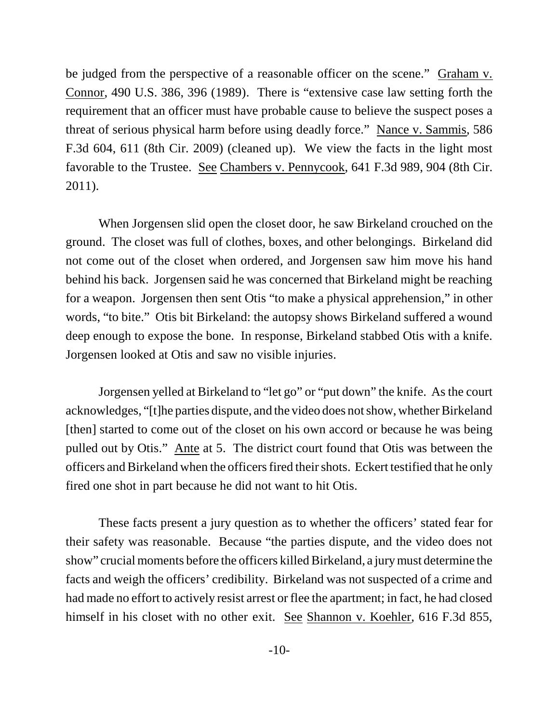be judged from the perspective of a reasonable officer on the scene." Graham v. Connor, 490 U.S. 386, 396 (1989). There is "extensive case law setting forth the requirement that an officer must have probable cause to believe the suspect poses a threat of serious physical harm before using deadly force." Nance v. Sammis, 586 F.3d 604, 611 (8th Cir. 2009) (cleaned up). We view the facts in the light most favorable to the Trustee. See Chambers v. Pennycook, 641 F.3d 989, 904 (8th Cir. 2011).

When Jorgensen slid open the closet door, he saw Birkeland crouched on the ground. The closet was full of clothes, boxes, and other belongings. Birkeland did not come out of the closet when ordered, and Jorgensen saw him move his hand behind his back. Jorgensen said he was concerned that Birkeland might be reaching for a weapon. Jorgensen then sent Otis "to make a physical apprehension," in other words, "to bite." Otis bit Birkeland: the autopsy shows Birkeland suffered a wound deep enough to expose the bone. In response, Birkeland stabbed Otis with a knife. Jorgensen looked at Otis and saw no visible injuries.

Jorgensen yelled at Birkeland to "let go" or "put down" the knife. As the court acknowledges, "[t]he parties dispute, and the video does not show, whether Birkeland [then] started to come out of the closet on his own accord or because he was being pulled out by Otis." Ante at 5. The district court found that Otis was between the officers and Birkeland when the officers fired their shots. Eckert testified that he only fired one shot in part because he did not want to hit Otis.

These facts present a jury question as to whether the officers' stated fear for their safety was reasonable. Because "the parties dispute, and the video does not show" crucial moments before the officers killed Birkeland, a jury must determine the facts and weigh the officers' credibility. Birkeland was not suspected of a crime and had made no effort to actively resist arrest or flee the apartment; in fact, he had closed himself in his closet with no other exit. See Shannon v. Koehler, 616 F.3d 855,